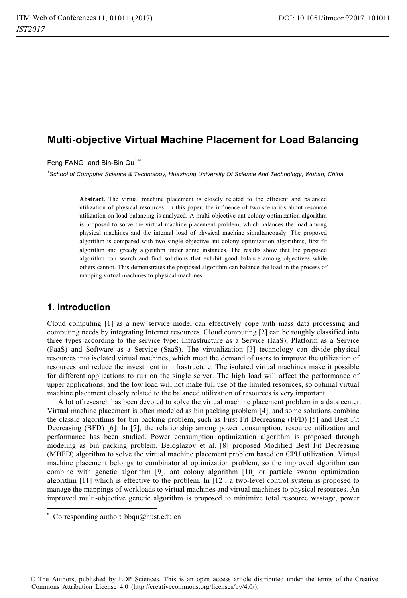# **Multi-objective Virtual Machine Placement for Load Balancing**

Feng  $\mathsf{FANG}^1$  and Bin-Bin Qu $^{1,a}$ 

*1 School of Computer Science & Technology, Huazhong University Of Science And Technology, Wuhan, China* 

**Abstract.** The virtual machine placement is closely related to the efficient and balanced utilization of physical resources. In this paper, the influence of two scenarios about resource utilization on load balancing is analyzed. A multi-objective ant colony optimization algorithm is proposed to solve the virtual machine placement problem, which balances the load among physical machines and the internal load of physical machine simultaneously. The proposed algorithm is compared with two single objective ant colony optimization algorithms, first fit algorithm and greedy algorithm under some instances. The results show that the proposed algorithm can search and find solutions that exhibit good balance among objectives while others cannot. This demonstrates the proposed algorithm can balance the load in the process of mapping virtual machines to physical machines.

### **1. Introduction**

Cloud computing [1] as a new service model can effectively cope with mass data processing and computing needs by integrating Internet resources. Cloud computing [2] can be roughly classified into three types according to the service type: Infrastructure as a Service (IaaS), Platform as a Service (PaaS) and Software as a Service (SaaS). The virtualization [3] technology can divide physical resources into isolated virtual machines, which meet the demand of users to improve the utilization of resources and reduce the investment in infrastructure. The isolated virtual machines make it possible for different applications to run on the single server. The high load will affect the performance of upper applications, and the low load will not make full use of the limited resources, so optimal virtual machine placement closely related to the balanced utilization of resources is very important.

A lot of research has been devoted to solve the virtual machine placement problem in a data center. Virtual machine placement is often modeled as bin packing problem [4], and some solutions combine the classic algorithms for bin packing problem, such as First Fit Decreasing (FFD) [5] and Best Fit Decreasing (BFD) [6]. In [7], the relationship among power consumption, resource utilization and performance has been studied. Power consumption optimization algorithm is proposed through modeling as bin packing problem. Beloglazov et al. [8] proposed Modified Best Fit Decreasing (MBFD) algorithm to solve the virtual machine placement problem based on CPU utilization. Virtual machine placement belongs to combinatorial optimization problem, so the improved algorithm can combine with genetic algorithm [9], ant colony algorithm [10] or particle swarm optimization algorithm [11] which is effective to the problem. In [12], a two-level control system is proposed to manage the mappings of workloads to virtual machines and virtual machines to physical resources. An improved multi-objective genetic algorithm is proposed to minimize total resource wastage, power

 ---------------------

----------------------------------

© The Authors, published by EDP Sciences. This is an open access article distributed under the terms of the Creative Commons Attribution License 4.0 (http://creativecommons.org/licenses/by/4.0/).

<sup>-</sup>-----<sup>a</sup> Corresponding author: bbqu@hust.edu.cn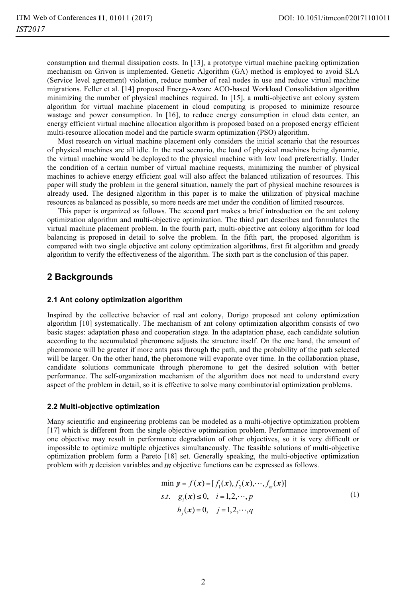consumption and thermal dissipation costs. In [13], a prototype virtual machine packing optimization mechanism on Grivon is implemented. Genetic Algorithm (GA) method is employed to avoid SLA (Service level agreement) violation, reduce number of real nodes in use and reduce virtual machine migrations. Feller et al. [14] proposed Energy-Aware ACO-based Workload Consolidation algorithm minimizing the number of physical machines required. In [15], a multi-objective ant colony system algorithm for virtual machine placement in cloud computing is proposed to minimize resource wastage and power consumption. In [16], to reduce energy consumption in cloud data center, an energy efficient virtual machine allocation algorithm is proposed based on a proposed energy efficient multi-resource allocation model and the particle swarm optimization (PSO) algorithm.

Most research on virtual machine placement only considers the initial scenario that the resources of physical machines are all idle. In the real scenario, the load of physical machines being dynamic, the virtual machine would be deployed to the physical machine with low load preferentially. Under the condition of a certain number of virtual machine requests, minimizing the number of physical machines to achieve energy efficient goal will also affect the balanced utilization of resources. This paper will study the problem in the general situation, namely the part of physical machine resources is already used. The designed algorithm in this paper is to make the utilization of physical machine resources as balanced as possible, so more needs are met under the condition of limited resources.

This paper is organized as follows. The second part makes a brief introduction on the ant colony optimization algorithm and multi-objective optimization. The third part describes and formulates the virtual machine placement problem. In the fourth part, multi-objective ant colony algorithm for load balancing is proposed in detail to solve the problem. In the fifth part, the proposed algorithm is compared with two single objective ant colony optimization algorithms, first fit algorithm and greedy algorithm to verify the effectiveness of the algorithm. The sixth part is the conclusion of this paper.

### **2 Backgrounds**

#### **2.1 Ant colony optimization algorithm**

Inspired by the collective behavior of real ant colony, Dorigo proposed ant colony optimization algorithm [10] systematically. The mechanism of ant colony optimization algorithm consists of two basic stages: adaptation phase and cooperation stage. In the adaptation phase, each candidate solution according to the accumulated pheromone adjusts the structure itself. On the one hand, the amount of pheromone will be greater if more ants pass through the path, and the probability of the path selected will be larger. On the other hand, the pheromone will evaporate over time. In the collaboration phase, candidate solutions communicate through pheromone to get the desired solution with better performance. The self-organization mechanism of the algorithm does not need to understand every aspect of the problem in detail, so it is effective to solve many combinatorial optimization problems.

#### **2.2 Multi-objective optimization**

Many scientific and engineering problems can be modeled as a multi-objective optimization problem [17] which is different from the single objective optimization problem. Performance improvement of one objective may result in performance degradation of other objectives, so it is very difficult or impossible to optimize multiple objectives simultaneously. The feasible solutions of multi-objective optimization problem form a Pareto [18] set. Generally speaking, the multi-objective optimization problem with *n* decision variables and *m* objective functions can be expressed as follows.

$$
\min \mathbf{y} = f(\mathbf{x}) = [f_1(\mathbf{x}), f_2(\mathbf{x}), \cdots, f_m(\mathbf{x})] \ns.t. \quad g_i(\mathbf{x}) \le 0, \quad i = 1, 2, \cdots, p \n h_j(\mathbf{x}) = 0, \quad j = 1, 2, \cdots, q
$$
\n(1)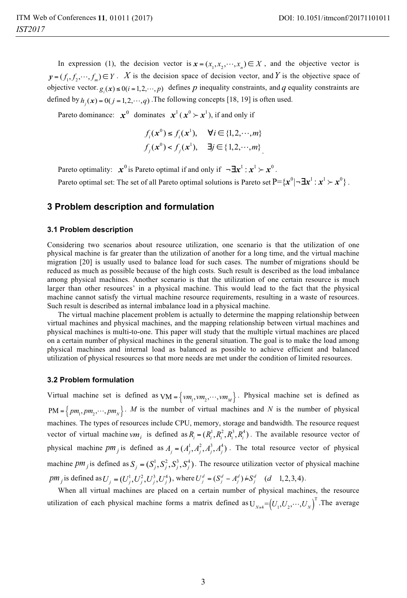In expression (1), the decision vector is  $\mathbf{x} = (x_1, x_2, \dots, x_n) \in X$ , and the objective vector is  $y = (f_1, f_2, \dots, f_m) \in Y$ . *X* is the decision space of decision vector, and *Y* is the objective space of shipping vector,  $\sigma(\omega) \cdot \theta(i-1, 2, \dots)$  defines *n* inequality constraints and *a* equality constraints are objective vector.  $g_i(x) \le 0(i = 1, 2, \dots, p)$  defines *p* inequality constraints, and *q* equality constraints are defined by  $I(x) = 0$  and  $\overline{I(x)}$ . The following concepts [18, 10] is often used defined by  $h_j(x) = 0(j = 1, 2, \dots, q)$ . The following concepts [18, 19] is often used.

Pareto dominance:  $x^0$  dominates  $x^1$  ( $x^0 > x^1$ ), if and only if

$$
f_i(\mathbf{x}^0) \le f_i(\mathbf{x}^1), \quad \forall i \in \{1, 2, \cdots, m\}
$$
  

$$
f_j(\mathbf{x}^0) < f_j(\mathbf{x}^1), \quad \exists j \in \{1, 2, \cdots, m\}
$$

Pareto optimality:  $x^0$  is Pareto optimal if and only if  $\neg \exists x^1 : x^1 \succ x^0$ .

Pareto optimal set: The set of all Pareto optimal solutions is Pareto set  $P = \{x^0 | \neg \exists x^1 : x^1 \succ x^0\}$ .

### **3 Problem description and formulation**

#### **3.1 Problem description**

Considering two scenarios about resource utilization, one scenario is that the utilization of one physical machine is far greater than the utilization of another for a long time, and the virtual machine migration [20] is usually used to balance load for such cases. The number of migrations should be reduced as much as possible because of the high costs. Such result is described as the load imbalance among physical machines. Another scenario is that the utilization of one certain resource is much larger than other resources' in a physical machine. This would lead to the fact that the physical machine cannot satisfy the virtual machine resource requirements, resulting in a waste of resources. Such result is described as internal imbalance load in a physical machine.

The virtual machine placement problem is actually to determine the mapping relationship between virtual machines and physical machines, and the mapping relationship between virtual machines and physical machines is multi-to-one. This paper will study that the multiple virtual machines are placed on a certain number of physical machines in the general situation. The goal is to make the load among physical machines and internal load as balanced as possible to achieve efficient and balanced utilization of physical resources so that more needs are met under the condition of limited resources.

#### **3.2 Problem formulation**

Virtual machine set is defined as  $VM = \{vm_1,vm_2, \dots,vm_M\}$ . Physical machine set is defined as  $PM = \{pm, pm_1, pm_2, \dots, pm_N\}$ . *M* is the number of virtual machines and *N* is the number of physical machines. The types of resources include CPU, memory, storage and bandwidth. The resource request vector of virtual machine  $v m_i$  is defined as  $R_i = (R_i^1, R_i^2, R_i^3, R_i^4)$ . The available resource vector of physical machine  $pm_j$  is defined as  $A_j = (A_j^1, A_j^2, A_j^3, A_j^4)$ . The total resource vector of physical machine  $pm_j$  is defined as  $S_j = (S_j^1, S_j^2, S_j^3, S_j^4)$ . The resource utilization vector of physical machine  $pm_j$  is defined as  $U_j = (U_j^1, U_j^2, U_j^3, U_j^4)$ , where  $U_j^d = (S_j^d - A_j^d) \neq S_j^d$  *(d 1,2,3,4)*.

When all virtual machines are placed on a certain number of physical machines, the resource utilization of each physical machine forms a matrix defined as  $U_{N \times 4} = (U_1, U_2, \dots, U_N)^T$ . The average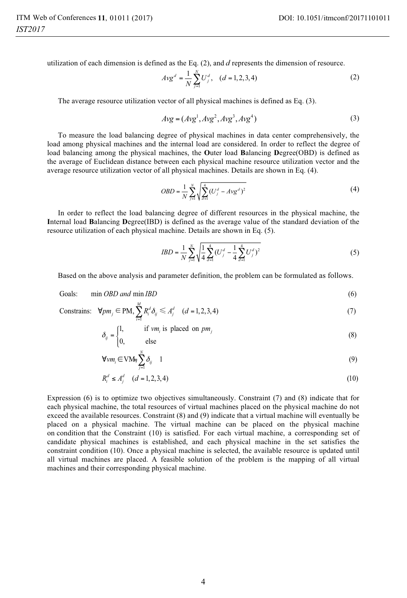utilization of each dimension is defined as the Eq. (2), and *d* represents the dimension of resource.

$$
Avg^d = \frac{1}{N} \sum_{j=1}^{N} U_j^d, \quad (d = 1, 2, 3, 4)
$$
 (2)

The average resource utilization vector of all physical machines is defined as Eq. (3).

$$
Avg = (Avg1, Avg2, Avg3, Avg4)
$$
 (3)

To measure the load balancing degree of physical machines in data center comprehensively, the load among physical machines and the internal load are considered. In order to reflect the degree of load balancing among the physical machines, the **O**uter load **B**alancing **D**egree(OBD) is defined as the average of Euclidean distance between each physical machine resource utilization vector and the average resource utilization vector of all physical machines. Details are shown in Eq. (4).

$$
OBD = \frac{1}{N} \sum_{j=1}^{N} \sqrt{\sum_{d=1}^{4} (U_j^d - Avg^d)^2}
$$
 (4)

In order to reflect the load balancing degree of different resources in the physical machine, the **I**nternal load **B**alancing **D**egree(IBD) is defined as the average value of the standard deviation of the resource utilization of each physical machine. Details are shown in Eq. (5).

$$
IBD = \frac{1}{N} \sum_{j=1}^{N} \sqrt{\frac{1}{4} \sum_{d=1}^{4} (U_j^d - \frac{1}{4} \sum_{d=1}^{4} U_j^d)^2}
$$
(5)

Based on the above analysis and parameter definition, the problem can be formulated as follows.

$$
Goals: \qquad \min OBD \text{ and } \min IBD \tag{6}
$$

Constrains:  $\forall pm_j \in PM, \sum_{i=1}^{n} R_i^d \delta_{ij} \leq A_j^d \quad (d = 1, 2, 3, 4)$  (7)  $pm_j \in PM$ ,  $\sum_{i=1} R_i^a \delta_{ij} \leq A_j^a$  (*d* =  $\forall pm_j \in PM, \sum R_i^d \delta_{ij} \leq A_j^d$  (d =

$$
\delta_{ij} = \begin{cases} 1, & \text{if } \mathit{vm}_i \text{ is placed on } pm_j \\ 0, & \text{else} \end{cases} \tag{8}
$$

$$
\forall \nu m_i \in \text{VM}_{\overline{y}} \sum_{j=1}^{N} \delta_{ij} \quad 1 \tag{9}
$$

$$
R_i^d \le A_j^d \quad (d = 1, 2, 3, 4)
$$
 (10)

Expression (6) is to optimize two objectives simultaneously. Constraint (7) and (8) indicate that for each physical machine, the total resources of virtual machines placed on the physical machine do not exceed the available resources. Constraint (8) and (9) indicate that a virtual machine will eventually be placed on a physical machine. The virtual machine can be placed on the physical machine on condition that the Constraint (10) is satisfied. For each virtual machine, a corresponding set of candidate physical machines is established, and each physical machine in the set satisfies the constraint condition (10). Once a physical machine is selected, the available resource is updated until all virtual machines are placed. A feasible solution of the problem is the mapping of all virtual machines and their corresponding physical machine.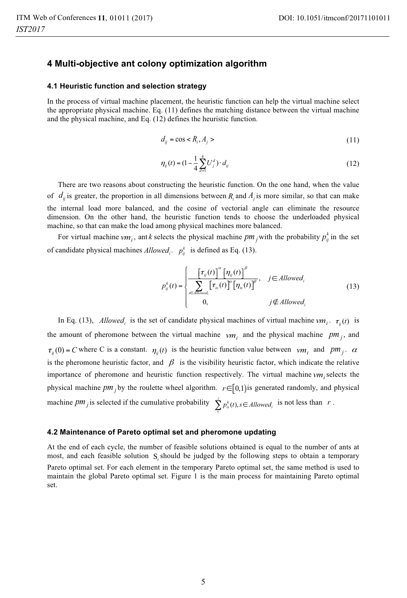### **4 Multi-objective ant colony optimization algorithm**

#### **4.1 Heuristic function and selection strategy**

In the process of virtual machine placement, the heuristic function can help the virtual machine select the appropriate physical machine. Eq. (11) defines the matching distance between the virtual machine and the physical machine, and Eq. (12) defines the heuristic function.

$$
d_{ij} = \cos < R_i, A_j > \tag{11}
$$

$$
\eta_{ij}(t) = (1 - \frac{1}{4} \sum_{a=1}^{4} U_j^d) \cdot d_{ij}
$$
\n(12)

There are two reasons about constructing the heuristic function. On the one hand, when the value of  $d_{ij}$  is greater, the proportion in all dimensions between  $R_i$  and  $A_j$  is more similar, so that can make the internal load more balanced, and the cosine of vectorial angle can eliminate the resource dimension. On the other hand, the heuristic function tends to choose the underloaded physical machine, so that can make the load among physical machines more balanced.

For virtual machine  $vm_i$ , ant *k* selects the physical machine  $pm_j$  with the probability  $p_{ij}^k$  in the set of candidate physical machines  $\text{Allowed}_i$ .  $p_{ij}^k$  is defined as Eq. (13).

$$
p_{ij}^{k}(t) = \begin{cases} \frac{\left[\tau_{ij}(t)\right]^{\alpha} \left[\eta_{ij}(t)\right]^{\beta}}{\sum_{s \in \text{allowed}_i} \left[\tau_{is}(t)\right]^{\alpha} \left[\eta_{is}(t)\right]^{\beta}}, & j \in \text{allowed}_i\\ 0, & j \notin \text{allowed}_i \end{cases}
$$
(13)

In Eq. (13), *Allowed<sub>i</sub>* is the set of candidate physical machines of virtual machine  $vm_i$ .  $\tau_{ij}(t)$  is the amount of pheromone between the virtual machine  $vm_i$  and the physical machine  $pm_j$ , and  $\tau_{ij}(0) = C$  where C is a constant.  $\eta_{ij}(t)$  is the heuristic function value between  $vm_i$  and  $pm_j$ .  $\alpha$ is the pheromone heuristic factor, and  $\beta$  is the visibility heuristic factor, which indicate the relative importance of pheromone and heuristic function respectively. The virtual machine  $vm_i$  selects the physical machine  $pm_j$  by the roulette wheel algorithm.  $r \in [0,1)$  is generated randomly, and physical machine *pm j* is selected if the cumulative probability  $\sum_{s} p_s^k(t), s \in \text{Allowed}_i$  is not less than *r*.

#### **4.2 Maintenance of Pareto optimal set and pheromone updating**

At the end of each cycle, the number of feasible solutions obtained is equal to the number of ants at most, and each feasible solution S<sub>i</sub> should be judged by the following steps to obtain a temporary Pareto optimal set. For each element in the temporary Pareto optimal set, the same method is used to maintain the global Pareto optimal set. Figure 1 is the main process for maintaining Pareto optimal set.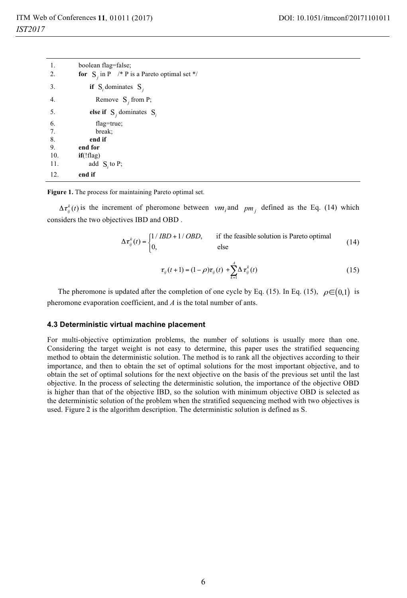| 1.<br>2. | boolean flag=false;<br>for $S_i$ in P /* P is a Pareto optimal set */ |
|----------|-----------------------------------------------------------------------|
| 3.       | <b>if</b> $S_i$ dominates $S_i$                                       |
| 4.       | Remove $S_i$ from P;                                                  |
| 5.       | <b>else if</b> $S_i$ dominates $S_i$                                  |
| 6.       | flag=true;                                                            |
| 7.       | break;                                                                |
| 8.       | end if                                                                |
| 9.       | end for                                                               |
| 10.      | if(!flag)                                                             |
| 11.      | add $S_i$ to P;                                                       |
| 12.      | end if                                                                |

**Figure 1.** The process for maintaining Pareto optimal set.

 $\Delta \tau_{ij}^k(t)$  is the increment of pheromone between  $vm_i$  and  $pm_j$  defined as the Eq. (14) which considers the two objectives IBD and OBD .

$$
\Delta \tau_{ij}^{k}(t) = \begin{cases} 1/IBD + 1/OBD, & \text{if the feasible solution is Pareto optimal} \\ 0, & \text{else} \end{cases}
$$
(14)

$$
\tau_{ij}(t+1) = (1-\rho)\tau_{ij}(t) + \sum_{k=1}^{A} \Delta \tau_{ij}^{k}(t)
$$
\n(15)

The pheromone is updated after the completion of one cycle by Eq. (15). In Eq. (15),  $\rho \in (0,1)$  is pheromone evaporation coefficient, and *A* is the total number of ants.

#### **4.3 Deterministic virtual machine placement**

For multi-objective optimization problems, the number of solutions is usually more than one. Considering the target weight is not easy to determine, this paper uses the stratified sequencing method to obtain the deterministic solution. The method is to rank all the objectives according to their importance, and then to obtain the set of optimal solutions for the most important objective, and to obtain the set of optimal solutions for the next objective on the basis of the previous set until the last objective. In the process of selecting the deterministic solution, the importance of the objective OBD is higher than that of the objective IBD, so the solution with minimum objective OBD is selected as the deterministic solution of the problem when the stratified sequencing method with two objectives is used. Figure 2 is the algorithm description. The deterministic solution is defined as S.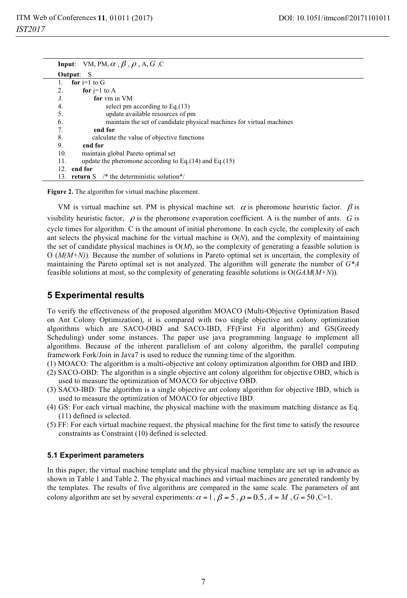|     | Input: VM, PM, $\alpha$ , $\beta$ , $\rho$ , A, G, C                    |  |  |  |  |  |
|-----|-------------------------------------------------------------------------|--|--|--|--|--|
|     | Output: S                                                               |  |  |  |  |  |
| 1.  | for $i=1$ to G                                                          |  |  |  |  |  |
| 2.  | for $i=1$ to A                                                          |  |  |  |  |  |
| 3.  | for ym in VM                                                            |  |  |  |  |  |
| 4.  | select pm according to Eq. $(13)$                                       |  |  |  |  |  |
| 5.  | update available resources of pm                                        |  |  |  |  |  |
| 6.  | maintain the set of candidate physical machines for virtual machines    |  |  |  |  |  |
| 7.  | end for                                                                 |  |  |  |  |  |
| 8.  | calculate the value of objective functions                              |  |  |  |  |  |
| 9.  | end for                                                                 |  |  |  |  |  |
| 10. | maintain global Pareto optimal set                                      |  |  |  |  |  |
| 11. | update the pheromone according to Eq. $(14)$ and Eq. $(15)$             |  |  |  |  |  |
| 12. | end for                                                                 |  |  |  |  |  |
|     | $\frac{1}{2}$ the deterministic solution <sup>*</sup> /<br>13. return S |  |  |  |  |  |

**Figure 2.** The algorithm for virtual machine placement.

VM is virtual machine set. PM is physical machine set.  $\alpha$  is pheromone heuristic factor.  $\beta$  is visibility heuristic factor,  $\rho$  is the pheromone evaporation coefficient. A is the number of ants. *G* is cycle times for algorithm. C is the amount of initial pheromone. In each cycle, the complexity of each ant selects the physical machine for the virtual machine is  $O(N)$ , and the complexity of maintaining the set of candidate physical machines is  $O(M)$ , so the complexity of generating a feasible solution is O (*M(M+N)*). Because the number of solutions in Pareto optimal set is uncertain, the complexity of maintaining the Pareto optimal set is not analyzed. The algorithm will generate the number of *G\*A* feasible solutions at most, so the complexity of generating feasible solutions is O(*GAM*(*M+N*)).

### **5 Experimental results**

To verify the effectiveness of the proposed algorithm MOACO (Multi-Objective Optimization Based on Ant Colony Optimization), it is compared with two single objective ant colony optimization algorithms which are SACO-OBD and SACO-IBD, FF(First Fit algorithm) and GS(Greedy Scheduling) under some instances. The paper use java programming language to implement all algorithms. Because of the inherent parallelism of ant colony algorithm, the parallel computing framework Fork/Join in Java7 is used to reduce the running time of the algorithm.

(1) MOACO: The algorithm is a multi-objective ant colony optimization algorithm for OBD and IBD.

- (2) SACO-OBD: The algorithm is a single objective ant colony algorithm for objective OBD, which is used to measure the optimization of MOACO for objective OBD.
- (3) SACO-IBD: The algorithm is a single objective ant colony algorithm for objective IBD, which is used to measure the optimization of MOACO for objective IBD.
- (4) GS: For each virtual machine, the physical machine with the maximum matching distance as Eq. (11) defined is selected.
- (5) FF: For each virtual machine request, the physical machine for the first time to satisfy the resource constraints as Constraint (10) defined is selected.

#### **5.1 Experiment parameters**

In this paper, the virtual machine template and the physical machine template are set up in advance as shown in Table 1 and Table 2. The physical machines and virtual machines are generated randomly by the templates. The results of five algorithms are compared in the same scale. The parameters of ant colony algorithm are set by several experiments:  $\alpha = 1$ ,  $\beta = 5$ ,  $\rho = 0.5$ ,  $A = M$ ,  $G = 50$ ,  $C=1$ .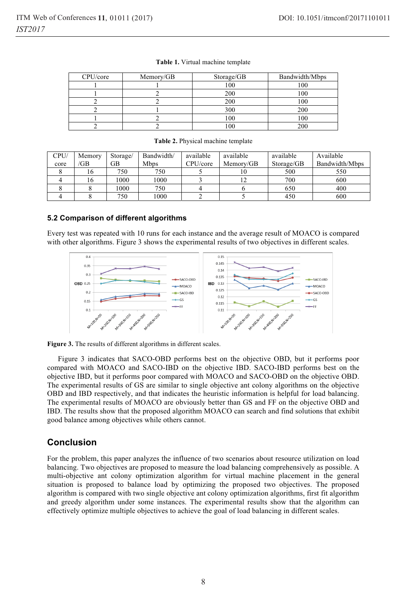| CPU/core | Memory/GB | Storage/GB | Bandwidth/Mbps |
|----------|-----------|------------|----------------|
|          |           | 100        | 100            |
|          |           | 200        | 100            |
|          |           | 200        | 100            |
|          |           | 300        | 200            |
|          |           | 100        | 100            |
|          |           | $100 \,$   | 200            |

| Table 1. Virtual machine template |  |  |  |  |  |
|-----------------------------------|--|--|--|--|--|
|-----------------------------------|--|--|--|--|--|

**Table 2.** Physical machine template

| CPU/ | Memory | Storage/ | Bandwidth/ | available | available | available  | Available      |
|------|--------|----------|------------|-----------|-----------|------------|----------------|
| core | /GB    | GВ       | Mbps       | CPU/core  | Memory/GB | Storage/GB | Bandwidth/Mbps |
|      | 16     | 750      | 750        |           |           | 500        | 550            |
|      | 16     | 1000     | 1000       |           |           | 700        | 600            |
|      |        | 1000     | 750        |           |           | 650        | 400            |
|      |        | 750      | 1000       |           |           | 450        | 600            |

### **5.2 Comparison of different algorithms**

Every test was repeated with 10 runs for each instance and the average result of MOACO is compared with other algorithms. Figure 3 shows the experimental results of two objectives in different scales.





Figure 3 indicates that SACO-OBD performs best on the objective OBD, but it performs poor compared with MOACO and SACO-IBD on the objective IBD. SACO-IBD performs best on the objective IBD, but it performs poor compared with MOACO and SACO-OBD on the objective OBD. The experimental results of GS are similar to single objective ant colony algorithms on the objective OBD and IBD respectively, and that indicates the heuristic information is helpful for load balancing. The experimental results of MOACO are obviously better than GS and FF on the objective OBD and IBD. The results show that the proposed algorithm MOACO can search and find solutions that exhibit good balance among objectives while others cannot.

### **Conclusion**

For the problem, this paper analyzes the influence of two scenarios about resource utilization on load balancing. Two objectives are proposed to measure the load balancing comprehensively as possible. A multi-objective ant colony optimization algorithm for virtual machine placement in the general situation is proposed to balance load by optimizing the proposed two objectives. The proposed algorithm is compared with two single objective ant colony optimization algorithms, first fit algorithm and greedy algorithm under some instances. The experimental results show that the algorithm can effectively optimize multiple objectives to achieve the goal of load balancing in different scales.